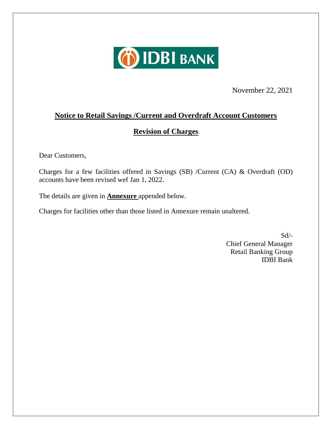

November 22, 2021

## **Notice to Retail Savings /Current and Overdraft Account Customers**

## **Revision of Charges**

Dear Customers,

Charges for a few facilities offered in Savings (SB) /Current (CA) & Overdraft (OD) accounts have been revised wef Jan 1, 2022.

The details are given in **Annexure** appended below.

Charges for facilities other than those listed in Annexure remain unaltered.

Sd/- Chief General Manager Retail Banking Group IDBI Bank